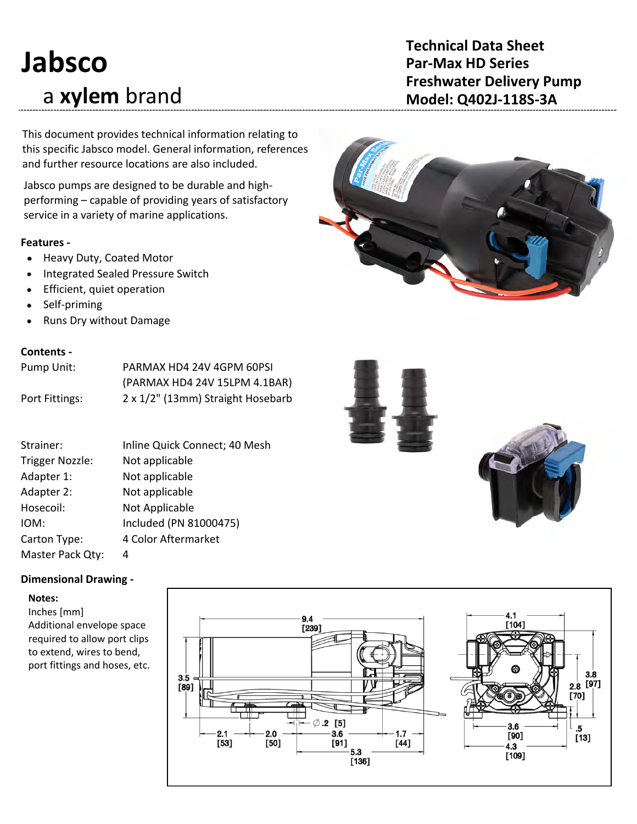# **Jabsco** a **xylem** brand

# **Technical Data Sheet Par-Max HD Series Freshwater Delivery Pump Model: Q402J‐118S‐3A**

This document provides technical information relating to this specific Jabsco model. General information, references and further resource locations are also included.

Jabsco pumps are designed to be durable and high‐ performing – capable of providing years of satisfactory service in a variety of marine applications.

### **Features ‐**

- Heavy Duty, Coated Motor
- Integrated Sealed Pressure Switch ٠
- Efficient, quiet operation ۰
- Self‐priming ٠
- Runs Dry without Damage ۰

### **Contents ‐**

| Pump Unit:     | PARMAX HD4 24V 4GPM 60PSI         |
|----------------|-----------------------------------|
|                | (PARMAX HD4 24V 15LPM 4.1BAR)     |
| Port Fittings: | 2 x 1/2" (13mm) Straight Hosebarb |

| Strainer:        | Inline Quick Connect; 40 Mesh |
|------------------|-------------------------------|
|                  |                               |
| Trigger Nozzle:  | Not applicable                |
| Adapter 1:       | Not applicable                |
| Adapter 2:       | Not applicable                |
| Hosecoil:        | Not Applicable                |
| IOM:             | Included (PN 81000475)        |
| Carton Type:     | 4 Color Aftermarket           |
| Master Pack Qty: | 4                             |

### **Dimensional Drawing ‐**

### **Notes:**

Inches [mm] Additional envelope space required to allow port clips to extend, wires to bend, port fittings and hoses, etc.







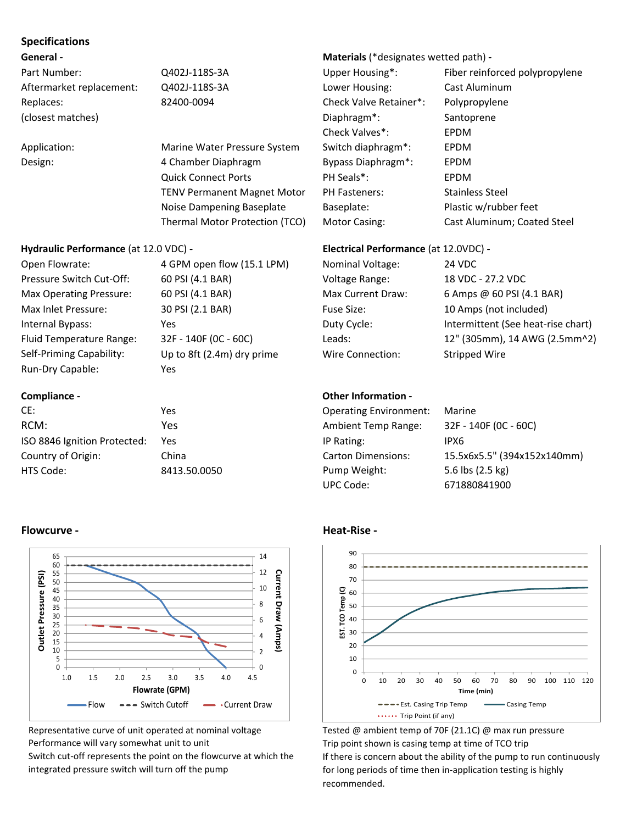### **Specifications**

| Part Number:             |   |
|--------------------------|---|
| Aftermarket replacement: |   |
| Replaces:                | 8 |
| (closest matches)        |   |

### **Hydraulic Performance** (at 12.0 VDC) **‐ Electrical Performance** (at 12.0VDC) **‐**

| Open Flowrate:           |
|--------------------------|
| Pressure Switch Cut-Off: |
| Max Operating Pressure:  |
| Max Inlet Pressure:      |
| Internal Bypass:         |
| Fluid Temperature Range: |
| Self-Priming Capability: |
| Run-Dry Capable:         |

4 GPM open flow (15.1 LPM) N 60 PSI (4.1 BAR) V 60 PSI (4.1 BAR) Max Current Draw: 6 Amps & 60 PSI (4.1 BAR) 30 PSI (2.1 BAR) F 32F - 140F (OC - 60C) L Up to 8ft  $(2.4m)$  dry prime V Yes

### **Compliance ‐**

### **General ‐ Materials** (\*designates wetted path) **‐**

Q402J‐118S‐3A Upper Housing\*: Fiber reinforced polypropylene Aftermarket replacement: Q402J‐118S‐3A Lower Housing: Cast Aluminum Replaces: 82400-0094 Check Valve Retainer\*: Polypropylene Diaphragm<sup>\*</sup>: Santoprene Check Valves\*: EPDM Application: Marine Water Pressure System Switch diaphragm\*: EPDM Design: The American Achamber Diaphragm and Bypass Diaphragm\*: EPDM Quick Connect Ports **PH Seals\*:** EPDM TENV Permanent Magnet Motor PH Fasteners: Stainless Steel Noise Dampening Baseplate Baseplate: Plastic w/rubber feet Thermal Motor Protection (TCO) Motor Casing: Cast Aluminum; Coated Steel

| 4 GPM open flow (15.1 LPM) | Nominal Voltage:  | <b>24 VDC</b>                      |
|----------------------------|-------------------|------------------------------------|
| 60 PSI (4.1 BAR)           | Voltage Range:    | 18 VDC - 27.2 VDC                  |
| 60 PSI (4.1 BAR)           | Max Current Draw: | 6 Amps @ 60 PSI (4.1 BAR)          |
| 30 PSI (2.1 BAR)           | Fuse Size:        | 10 Amps (not included)             |
| Yes                        | Duty Cycle:       | Intermittent (See heat-rise chart) |
| 32F - 140F (OC - 60C)      | Leads:            | 12" (305mm), 14 AWG (2.5mm^2)      |
| Up to 8ft (2.4m) dry prime | Wire Connection:  | Stripped Wire                      |

### **Other Information ‐**

| CE:                          | Yes          | <b>Operating Environment:</b> | Marine                      |
|------------------------------|--------------|-------------------------------|-----------------------------|
| RCM:                         | Yes          | <b>Ambient Temp Range:</b>    | 32F - 140F (0C - 60C)       |
| ISO 8846 Ignition Protected: | Yes          | IP Rating:                    | IPX6                        |
| Country of Origin:           | China        | <b>Carton Dimensions:</b>     | 15.5x6x5.5" (394x152x140mm) |
| HTS Code:                    | 8413.50.0050 | Pump Weight:                  | 5.6 lbs (2.5 kg)            |
|                              |              | UPC Code:                     | 671880841900                |



Tested @ ambient temp of 70F (21.1C) @ max run pressure Trip point shown is casing temp at time of TCO trip If there is concern about the ability of the pump to run continuously for long periods of time then in-application testing is highly recommended.

### **Flowcurve ‐ Heat‐Rise ‐**



Representative curve of unit operated at nominal voltage Performance will vary somewhat unit to unit

Switch cut-off represents the point on the flowcurve at which the integrated pressure switch will turn off the pump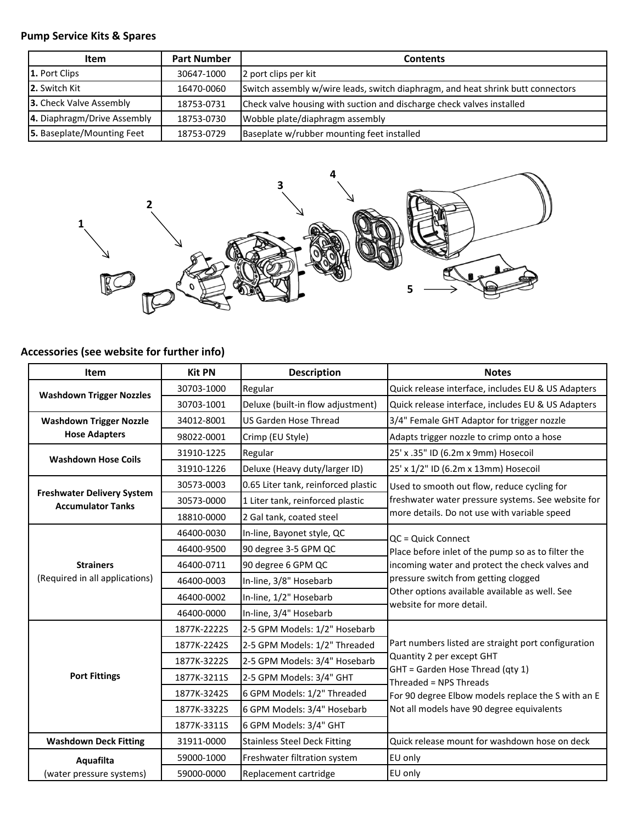## **Pump Service Kits & Spares**

| <b>Item</b>                 | <b>Part Number</b> | <b>Contents</b>                                                                 |
|-----------------------------|--------------------|---------------------------------------------------------------------------------|
| 1. Port Clips               | 30647-1000         | 2 port clips per kit                                                            |
| 2. Switch Kit               | 16470-0060         | Switch assembly w/wire leads, switch diaphragm, and heat shrink butt connectors |
| 3. Check Valve Assembly     | 18753-0731         | Check valve housing with suction and discharge check valves installed           |
| 4. Diaphragm/Drive Assembly | 18753-0730         | Wobble plate/diaphragm assembly                                                 |
| 5. Baseplate/Mounting Feet  | 18753-0729         | Baseplate w/rubber mounting feet installed                                      |



# **Accessories (see website for further info)**

| <b>Item</b>                                                   | <b>Kit PN</b> | <b>Description</b>                  | <b>Notes</b>                                                                                                                                                          |  |
|---------------------------------------------------------------|---------------|-------------------------------------|-----------------------------------------------------------------------------------------------------------------------------------------------------------------------|--|
| <b>Washdown Trigger Nozzles</b>                               | 30703-1000    | Regular                             | Quick release interface, includes EU & US Adapters                                                                                                                    |  |
|                                                               | 30703-1001    | Deluxe (built-in flow adjustment)   | Quick release interface, includes EU & US Adapters                                                                                                                    |  |
| <b>Washdown Trigger Nozzle</b>                                | 34012-8001    | <b>US Garden Hose Thread</b>        | 3/4" Female GHT Adaptor for trigger nozzle                                                                                                                            |  |
| <b>Hose Adapters</b>                                          | 98022-0001    | Crimp (EU Style)                    | Adapts trigger nozzle to crimp onto a hose                                                                                                                            |  |
| <b>Washdown Hose Coils</b>                                    | 31910-1225    | Regular                             | 25' x .35" ID (6.2m x 9mm) Hosecoil                                                                                                                                   |  |
|                                                               | 31910-1226    | Deluxe (Heavy duty/larger ID)       | 25' x 1/2" ID (6.2m x 13mm) Hosecoil                                                                                                                                  |  |
|                                                               | 30573-0003    | 0.65 Liter tank, reinforced plastic | Used to smooth out flow, reduce cycling for                                                                                                                           |  |
| <b>Freshwater Delivery System</b><br><b>Accumulator Tanks</b> | 30573-0000    | 1 Liter tank, reinforced plastic    | freshwater water pressure systems. See website for                                                                                                                    |  |
|                                                               | 18810-0000    | 2 Gal tank, coated steel            | more details. Do not use with variable speed                                                                                                                          |  |
|                                                               | 46400-0030    | In-line, Bayonet style, QC          | QC = Quick Connect                                                                                                                                                    |  |
|                                                               | 46400-9500    | 90 degree 3-5 GPM QC                | Place before inlet of the pump so as to filter the                                                                                                                    |  |
| <b>Strainers</b>                                              | 46400-0711    | 90 degree 6 GPM QC                  | incoming water and protect the check valves and<br>pressure switch from getting clogged<br>Other options available available as well. See<br>website for more detail. |  |
| (Required in all applications)                                | 46400-0003    | In-line, 3/8" Hosebarb              |                                                                                                                                                                       |  |
|                                                               | 46400-0002    | In-line, 1/2" Hosebarb              |                                                                                                                                                                       |  |
|                                                               | 46400-0000    | In-line, 3/4" Hosebarb              |                                                                                                                                                                       |  |
|                                                               | 1877K-2222S   | 2-5 GPM Models: 1/2" Hosebarb       |                                                                                                                                                                       |  |
|                                                               | 1877K-2242S   | 2-5 GPM Models: 1/2" Threaded       | Part numbers listed are straight port configuration                                                                                                                   |  |
| <b>Port Fittings</b>                                          | 1877K-3222S   | 2-5 GPM Models: 3/4" Hosebarb       | Quantity 2 per except GHT                                                                                                                                             |  |
|                                                               | 1877K-3211S   | 2-5 GPM Models: 3/4" GHT            | GHT = Garden Hose Thread (qty 1)<br>Threaded = NPS Threads                                                                                                            |  |
|                                                               | 1877K-3242S   | 6 GPM Models: 1/2" Threaded         | For 90 degree Elbow models replace the S with an E                                                                                                                    |  |
|                                                               | 1877K-3322S   | 6 GPM Models: 3/4" Hosebarb         | Not all models have 90 degree equivalents                                                                                                                             |  |
|                                                               | 1877K-3311S   | 6 GPM Models: 3/4" GHT              |                                                                                                                                                                       |  |
| <b>Washdown Deck Fitting</b>                                  | 31911-0000    | <b>Stainless Steel Deck Fitting</b> | Quick release mount for washdown hose on deck                                                                                                                         |  |
| Aquafilta                                                     | 59000-1000    | Freshwater filtration system        | EU only                                                                                                                                                               |  |
| (water pressure systems)                                      | 59000-0000    | Replacement cartridge               | EU only                                                                                                                                                               |  |